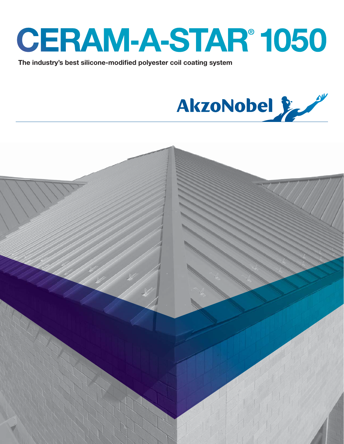

The industry's best silicone-modified polyester coil coating system



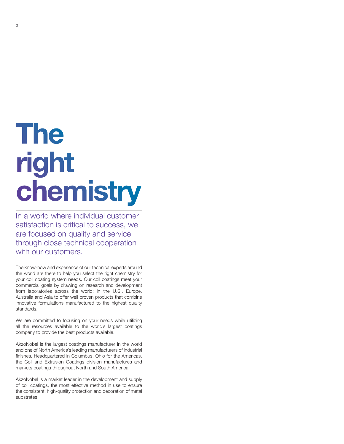# **The** right chemistry

In a world where individual customer satisfaction is critical to success, we are focused on quality and service through close technical cooperation with our customers.

The know-how and experience of our technical experts around the world are there to help you select the right chemistry for your coil coating system needs. Our coil coatings meet your commercial goals by drawing on research and development from laboratories across the world; in the U.S., Europe, Australia and Asia to offer well proven products that combine innovative formulations manufactured to the highest quality standards.

We are committed to focusing on your needs while utilizing all the resources available to the world's largest coatings company to provide the best products available.

AkzoNobel is the largest coatings manufacturer in the world and one of North America's leading manufacturers of industrial finishes. Headquartered in Columbus, Ohio for the Americas, the Coil and Extrusion Coatings division manufactures and markets coatings throughout North and South America.

AkzoNobel is a market leader in the development and supply of coil coatings, the most effective method in use to ensure the consistent, high-quality protection and decoration of metal substrates.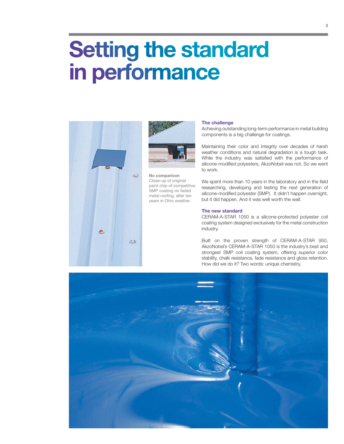## **Setting the standard** in performance





**No comparison** Close-up of original paint chip of competitive SMP coating on faded metal roofing, after ten years in Ohio weather.

### **The challenge**

Achieving outstanding long-term performance in metal building components is a big challenge for coatings.

Maintaining their color and integrity over decades of harsh weather conditions and natural degradation is a tough task. While the industry was satisfied with the performance of silicone-modified polyesters, AkzoNobel was not. So we went to work.

We spent more than 10 years in the laboratory and in the field researching, developing and testing the next generation of silicone-modified polyester (SMP). It didn't happen overnight, but it did happen. And it was well worth the wait.

### **The new standard**

CERAM-A-STAR 1050 is a silicone-protected polyester coil coating system designed exclusively for the metal construction industry.

Built on the proven strength of CERAM-A-STAR 950, AkzoNobel's CERAM-A-STAR 1050 is the industry's best and strongest SMP coil coating system, offering superior color stability, chalk resistance, fade resistance and gloss retention. How did we do it? Two words: unique chemistry.

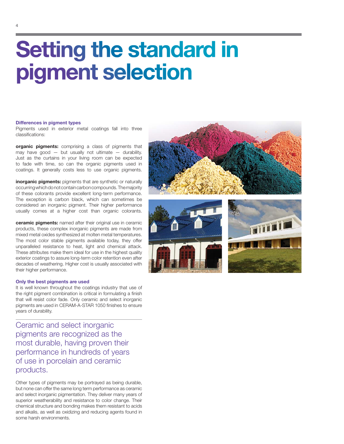## **Setting the standard in** pigment selection

## **Differences in pigment types**

Pigments used in exterior metal coatings fall into three classifications:

**organic pigments:** comprising a class of pigments that may have good  $-$  but usually not ultimate  $-$  durability. Just as the curtains in your living room can be expected to fade with time, so can the organic pigments used in coatings. It generally costs less to use organic pigments.

**inorganic pigments:** pigments that are synthetic or naturally occurring which do not contain carbon compounds. The majority of these colorants provide excellent long-term performance. The exception is carbon black, which can sometimes be considered an inorganic pigment. Their higher performance usually comes at a higher cost than organic colorants.

**ceramic pigments:** named after their original use in ceramic products, these complex inorganic pigments are made from mixed metal oxides synthesized at molten metal temperatures. The most color stable pigments available today, they offer unparalleled resistance to heat, light and chemical attack. These attributes make them ideal for use in the highest quality exterior coatings to assure long-term color retention even after decades of weathering. Higher cost is usually associated with their higher performance.

### **Only the best pigments are used**

It is well known throughout the coatings industry that use of the right pigment combination is critical in formulating a finish that will resist color fade. Only ceramic and select inorganic pigments are used in CERAM-A-STAR 1050 finishes to ensure years of durability.

Ceramic and select inorganic pigments are recognized as the most durable, having proven their performance in hundreds of years of use in porcelain and ceramic products.

Other types of pigments may be portrayed as being durable, but none can offer the same long term performance as ceramic and select inorganic pigmentation. They deliver many years of superior weatherability and resistance to color change. Their chemical structure and bonding makes them resistant to acids and alkalis, as well as oxidizing and reducing agents found in some harsh environments.



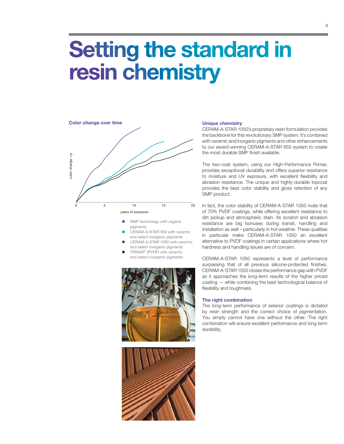## **Setting the standard in** resin chemistry



- SMP technology with organic pigments
- CERAM-A-STAR 950 with ceramic and select inorganic pigments
- CERAM-A-STAR 1050 with ceramic and select inorganic pigments
- TRINAR® (PVDF) with ceramic and select inorganic pigments





### **Unique chemistry**

CERAM-A-STAR 1050's proprietary resin formulation provides the backbone for this revolutionary SMP system. It's combined with ceramic and inorganic pigments and other enhancements to our award-winning CERAM-A-STAR 950 system to create the most durable SMP finish available.

The two-coat system, using our High-Performance Primer, provides exceptional durability and offers superior resistance to moisture and UV exposure, with excellent flexibility and abrasion resistance. The unique and highly-durable topcoat provides the best color stability and gloss retention of any SMP product.

In fact, the color stability of CERAM-A-STAR 1050 rivals that of 70% PVDF coatings, while offering excellent resistance to dirt pickup and atmospheric stain. Its scratch and abrasion resistance are big bonuses during transit, handling and installation as well – particularly in hot weather. These qualities in particular make CERAM-A-STAR 1050 an excellent alternative to PVDF coatings in certain applications where hot hardness and handling issues are of concern.

CERAM-A-STAR 1050 represents a level of performance surpassing that of all previous silicone-protected finishes. CERAM-A-STAR 1050 closes the performance gap with PVDF as it approaches the long-term results of the higher priced coating — while combining the best technological balance of flexibility and toughness.

## **The right combination**

The long-term performance of exterior coatings is dictated by resin strength and the correct choice of pigmentation. You simply cannot have one without the other. The right combination will ensure excellent performance and long term durability.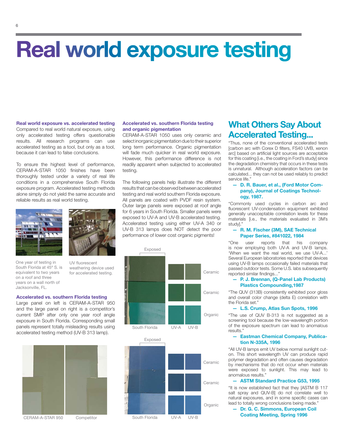## **Real world exposure testing**

**Real world exposure vs. accelerated testing** Compared to real world natural exposure, using only accelerated testing offers questionable results. All research programs can use accelerated testing as a tool, but only as a tool, because it can lead to false conclusions.

To ensure the highest level of performance, CERAM-A-STAR 1050 finishes have been thoroughly tested under a variety of real life conditions in a comprehensive South Florida exposure program. Accelerated testing methods alone simply do not yield the same accurate and reliable results as real world testing.



One year of testing in South Florida at 45º S. is equivalent to two years on a roof and three years on a wall north of .<br>Jacksonville, FL.

UV fluorescent weathering device used for accelerated testing.

## **Accelerated vs. southern Florida testing**

Large panel on left is CERAM-A-STAR 950 and the large panel on right is a competitor's current SMP after only one year roof angle exposure in South Florida. Corresponding small panels represent totally misleading results using accelerated testing method (UV-B 313 lamp).



## **Accelerated vs. southern Florida testing and organic pigmentation**

CERAM-A-STAR 1050 uses only ceramic and select inorganic pigmentation due to their superior long term performance. Organic pigmentation will fade much quicker in real world exposure. However, this performance difference is not readily apparent when subjected to accelerated testing.

The following panels help illustrate the different results that can be observed between accelerated testing and real world southern Florida exposure. All panels are coated with PVDF resin system. Outer large panels were exposed at roof angle for 6 years in South Florida. Smaller panels were exposed to UV-A and UV-B accelerated testing. Accelerated testing using either UV-A 340 or UV-B 313 lamps does NOT detect the poor performance of lower cost organic pigments!





## **What Others Say About Accelerated Testing...**

"Thus, none of the conventional accelerated tests [carbon arc with Corex D filters, FS40 UVB, xenon arc] based on artificial light sources are acceptable for this coating [i.e., the coating in Ford's study] since the degradation chemistry that occurs in these tests is unnatural. Although acceleration factors can be calculated... they can not be used reliably to predict service life."

## **— D. R. Bauer, et al., (Ford Motor Company), Journal of Coatings Technology, 1987.**

"Commonly used cycles in carbon arc and fluorescent UV-condensation equipment exhibited generally unacceptable correlation levels for these materials [i.e., the materials evaluated in 3M's study]."

## **— R. M. Fischer (3M), SAE Technical Paper Series, #841022, 1984**

"One user reports that his company is now employing both UV-A and UV-B lamps. 'When we want the real world, we use UV-A...' Several European laboratories reported that devices using UV-B lamps occasionally failed materials that passed outdoor tests. Some U.S. labs subsequently reported similar findings..."

## **— P. J. Brennan, (Q-Panel Lab Products) Plastics Compounding,1987**

"The QUV (313B) consistently exhibited poor gloss and overall color change (delta E) correlation with the Florida set."

## **— L.S. Crump, Atlas Sun Spots, 1996**

"The use of QUV B-313 is not suggested as a screening tool because the low-wavelength portion of the exposure spectrum can lead to anomalous results."

## **— Eastman Chemical Company, Publication N-335A, 1996**

"All UV-B lamps emit UV below normal sunlight cuton. This short wavelength UV can produce rapid polymer degradation and often causes degradation by mechanisms that do not occur when materials were exposed to sunlight. This may lead to anomalous results."

## **— ASTM Standard Practice G53, 1995**

"It is now established fact that they [ASTM B 117 salt spray and QUV-B] do not correlate well to natural exposures, and in some specific cases can lead to totally wrong conclusions being made."

## Dr. G. C. Simmons, European Coil **Coating Meeting, Spring 1996**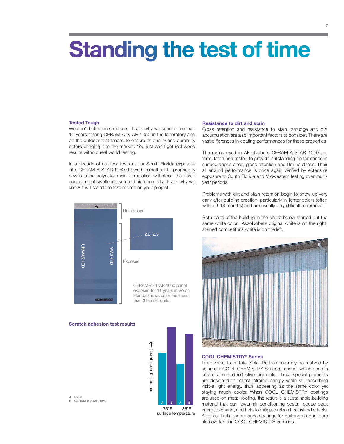## **Standing the test of time**

## **Tested Tough**

We don't believe in shortcuts. That's why we spent more than 10 years testing CERAM-A-STAR 1050 in the laboratory and on the outdoor test fences to ensure its quality and durability before bringing it to the market. You just can't get real world results without real world testing.

In a decade of outdoor tests at our South Florida exposure site, CERAM-A-STAR 1050 showed its mettle. Our proprietary new silicone polyester resin formulation withstood the harsh conditions of sweltering sun and high humidity. That's why we know it will stand the test of time on your project.



## **Scratch adhesion test results**



surface temperature

### **Resistance to dirt and stain**

Gloss retention and resistance to stain, smudge and dirt accumulation are also important factors to consider. There are vast differences in coating performances for these properties.

The resins used in AkzoNobel's CERAM-A-STAR 1050 are formulated and tested to provide outstanding performance in surface appearance, gloss retention and film hardness. Their all around performance is once again verified by extensive exposure to South Florida and Midwestern testing over multiyear periods.

Problems with dirt and stain retention begin to show up very early after building erection, particularly in lighter colors (often within 6-18 months) and are usually very difficult to remove.

Both parts of the building in the photo below started out the same white color. AkzoNobel's original white is on the right; stained competitor's white is on the left.



## **COOL CHEMISTRY® Series**

Improvements in Total Solar Reflectance may be realized by using our COOL CHEMISTRY Series coatings, which contain ceramic infrared reflective pigments. These special pigments are designed to reflect infrared energy while still absorbing visible light energy, thus appearing as the same color yet staying much cooler. When COOL CHEMISTRY coatings are used on metal roofing, the result is a sustainable building material that can lower air conditioning costs, reduce peak energy demand, and help to mitigate urban heat island effects. All of our high-performance coatings for building products are also available in COOL CHEMISTRY versions.